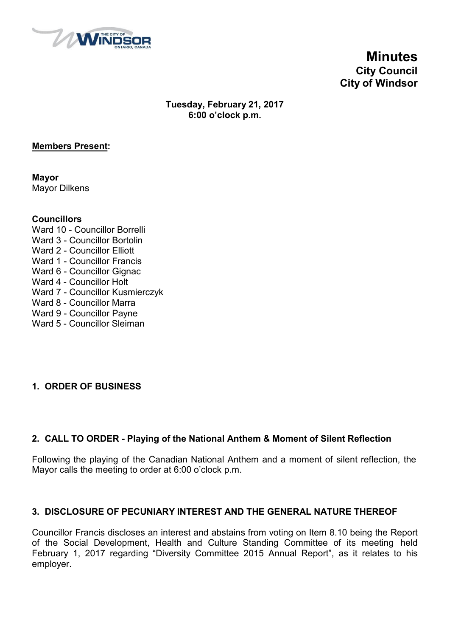

**Minutes City Council City of Windsor**

**Tuesday, February 21, 2017 6:00 o'clock p.m.**

#### **Members Present:**

**Mayor** Mayor Dilkens

#### **Councillors**

- Ward 10 Councillor Borrelli Ward 3 - Councillor Bortolin Ward 2 - Councillor Elliott Ward 1 - Councillor Francis Ward 6 - Councillor Gignac Ward 4 - Councillor Holt Ward 7 - Councillor Kusmierczyk Ward 8 - Councillor Marra Ward 9 - Councillor Payne
- Ward 5 Councillor Sleiman

#### **1. ORDER OF BUSINESS**

#### **2. CALL TO ORDER - Playing of the National Anthem & Moment of Silent Reflection**

Following the playing of the Canadian National Anthem and a moment of silent reflection, the Mayor calls the meeting to order at 6:00 o'clock p.m.

#### **3. DISCLOSURE OF PECUNIARY INTEREST AND THE GENERAL NATURE THEREOF**

Councillor Francis discloses an interest and abstains from voting on Item 8.10 being the Report of the Social Development, Health and Culture Standing Committee of its meeting held February 1, 2017 regarding "Diversity Committee 2015 Annual Report", as it relates to his employer.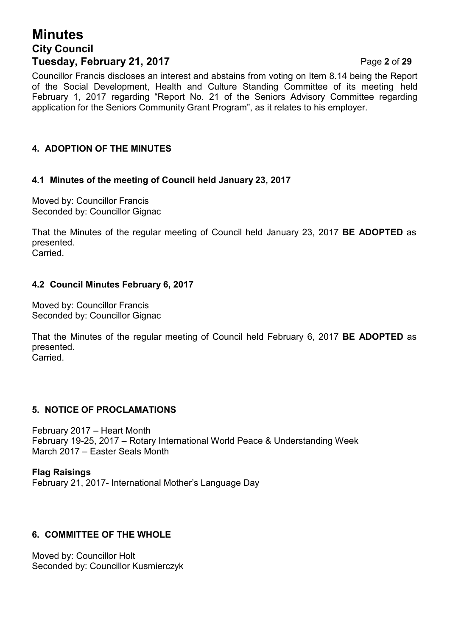# **Minutes City Council Tuesday, February 21, 2017** Page **2** of **29**

Councillor Francis discloses an interest and abstains from voting on Item 8.14 being the Report of the Social Development, Health and Culture Standing Committee of its meeting held February 1, 2017 regarding "Report No. 21 of the Seniors Advisory Committee regarding application for the Seniors Community Grant Program", as it relates to his employer.

### **4. ADOPTION OF THE MINUTES**

#### **4.1 Minutes of the meeting of Council held January 23, 2017**

Moved by: Councillor Francis Seconded by: Councillor Gignac

That the Minutes of the regular meeting of Council held January 23, 2017 **BE ADOPTED** as presented. **Carried** 

#### **4.2 Council Minutes February 6, 2017**

Moved by: Councillor Francis Seconded by: Councillor Gignac

That the Minutes of the regular meeting of Council held February 6, 2017 **BE ADOPTED** as presented. **Carried** 

#### **5. NOTICE OF PROCLAMATIONS**

February 2017 – Heart Month February 19-25, 2017 – Rotary International World Peace & Understanding Week March 2017 – Easter Seals Month

**Flag Raisings** February 21, 2017- International Mother's Language Day

#### **6. COMMITTEE OF THE WHOLE**

Moved by: Councillor Holt Seconded by: Councillor Kusmierczyk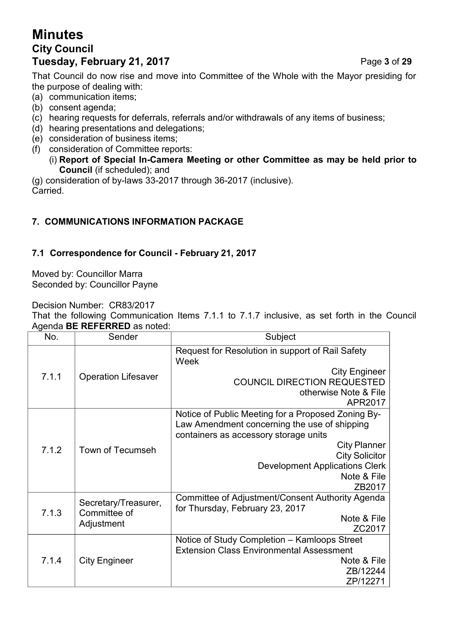# **Minutes City Council Tuesday, February 21, 2017** Page **3** of **29**

That Council do now rise and move into Committee of the Whole with the Mayor presiding for the purpose of dealing with:

- (a) communication items;
- (b) consent agenda;
- (c) hearing requests for deferrals, referrals and/or withdrawals of any items of business;
- (d) hearing presentations and delegations;
- (e) consideration of business items;
- (f) consideration of Committee reports:
	- (i) **Report of Special In-Camera Meeting or other Committee as may be held prior to Council** (if scheduled); and

(g) consideration of by-laws 33-2017 through 36-2017 (inclusive). Carried.

### **7. COMMUNICATIONS INFORMATION PACKAGE**

#### **7.1 Correspondence for Council - February 21, 2017**

Moved by: Councillor Marra Seconded by: Councillor Payne

Decision Number: CR83/2017

That the following Communication Items 7.1.1 to 7.1.7 inclusive, as set forth in the Council Agenda **BE REFERRED** as noted:

| No.   | Sender                                             | Subject                                                                                                                                                                                                                                                       |
|-------|----------------------------------------------------|---------------------------------------------------------------------------------------------------------------------------------------------------------------------------------------------------------------------------------------------------------------|
|       |                                                    | Request for Resolution in support of Rail Safety<br>Week                                                                                                                                                                                                      |
| 7.1.1 | <b>Operation Lifesaver</b>                         | <b>City Engineer</b><br><b>COUNCIL DIRECTION REQUESTED</b><br>otherwise Note & File<br>APR2017                                                                                                                                                                |
| 7.1.2 | <b>Town of Tecumseh</b>                            | Notice of Public Meeting for a Proposed Zoning By-<br>Law Amendment concerning the use of shipping<br>containers as accessory storage units<br><b>City Planner</b><br><b>City Solicitor</b><br><b>Development Applications Clerk</b><br>Note & File<br>ZB2017 |
| 7.1.3 | Secretary/Treasurer,<br>Committee of<br>Adjustment | Committee of Adjustment/Consent Authority Agenda<br>for Thursday, February 23, 2017<br>Note & File<br>ZC2017                                                                                                                                                  |
| 7.1.4 | <b>City Engineer</b>                               | Notice of Study Completion - Kamloops Street<br><b>Extension Class Environmental Assessment</b><br>Note & File<br>ZB/12244<br>ZP/12271                                                                                                                        |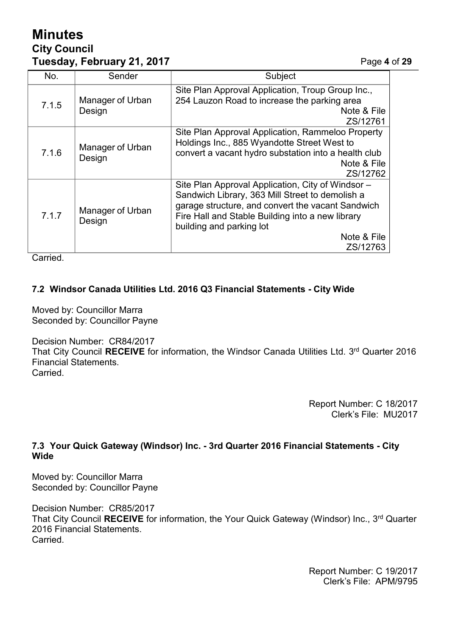# **Minutes City Council Tuesday, February 21, 2017** Page **4** of **29**

| No.   | Sender                     | Subject                                                                                                                                                                                                                                                              |
|-------|----------------------------|----------------------------------------------------------------------------------------------------------------------------------------------------------------------------------------------------------------------------------------------------------------------|
| 7.1.5 | Manager of Urban<br>Design | Site Plan Approval Application, Troup Group Inc.,<br>254 Lauzon Road to increase the parking area<br>Note & File<br>ZS/12761                                                                                                                                         |
| 7.1.6 | Manager of Urban<br>Design | Site Plan Approval Application, Rammeloo Property<br>Holdings Inc., 885 Wyandotte Street West to<br>convert a vacant hydro substation into a health club<br>Note & File<br>ZS/12762                                                                                  |
| 7.1.7 | Manager of Urban<br>Design | Site Plan Approval Application, City of Windsor -<br>Sandwich Library, 363 Mill Street to demolish a<br>garage structure, and convert the vacant Sandwich<br>Fire Hall and Stable Building into a new library<br>building and parking lot<br>Note & File<br>ZS/12763 |

Carried.

#### **7.2 Windsor Canada Utilities Ltd. 2016 Q3 Financial Statements - City Wide**

Moved by: Councillor Marra Seconded by: Councillor Payne

Decision Number: CR84/2017 That City Council **RECEIVE** for information, the Windsor Canada Utilities Ltd. 3 rd Quarter 2016 Financial Statements. **Carried** 

> Report Number: C 18/2017 Clerk's File: MU2017

#### **7.3 Your Quick Gateway (Windsor) Inc. - 3rd Quarter 2016 Financial Statements - City Wide**

Moved by: Councillor Marra Seconded by: Councillor Payne

Decision Number: CR85/2017 That City Council **RECEIVE** for information, the Your Quick Gateway (Windsor) Inc., 3 rd Quarter 2016 Financial Statements. Carried.

> Report Number: C 19/2017 Clerk's File: APM/9795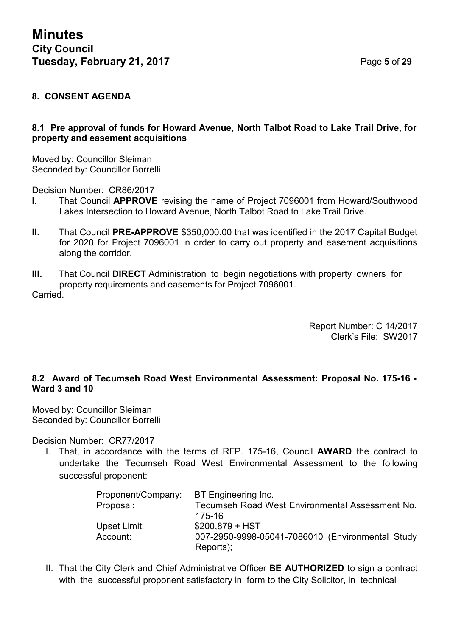#### **8. CONSENT AGENDA**

#### **8.1 Pre approval of funds for Howard Avenue, North Talbot Road to Lake Trail Drive, for property and easement acquisitions**

Moved by: Councillor Sleiman Seconded by: Councillor Borrelli

Decision Number: CR86/2017

- **I.** That Council **APPROVE** revising the name of Project 7096001 from Howard/Southwood Lakes Intersection to Howard Avenue, North Talbot Road to Lake Trail Drive.
- **II.** That Council **PRE-APPROVE** \$350,000.00 that was identified in the 2017 Capital Budget for 2020 for Project 7096001 in order to carry out property and easement acquisitions along the corridor.
- **III.** That Council **DIRECT** Administration to begin negotiations with property owners for property requirements and easements for Project 7096001. Carried.

Report Number: C 14/2017 Clerk's File: SW2017

#### **8.2 Award of Tecumseh Road West Environmental Assessment: Proposal No. 175-16 - Ward 3 and 10**

Moved by: Councillor Sleiman Seconded by: Councillor Borrelli

Decision Number: CR77/2017

I. That, in accordance with the terms of RFP. 175-16, Council **AWARD** the contract to undertake the Tecumseh Road West Environmental Assessment to the following successful proponent:

| Proponent/Company: | BT Engineering Inc.                              |
|--------------------|--------------------------------------------------|
| Proposal:          | Tecumseh Road West Environmental Assessment No.  |
|                    | 175-16                                           |
| Upset Limit:       | $$200,879 + HST$                                 |
| Account:           | 007-2950-9998-05041-7086010 (Environmental Study |
|                    | Reports);                                        |

II. That the City Clerk and Chief Administrative Officer **BE AUTHORIZED** to sign a contract with the successful proponent satisfactory in form to the City Solicitor, in technical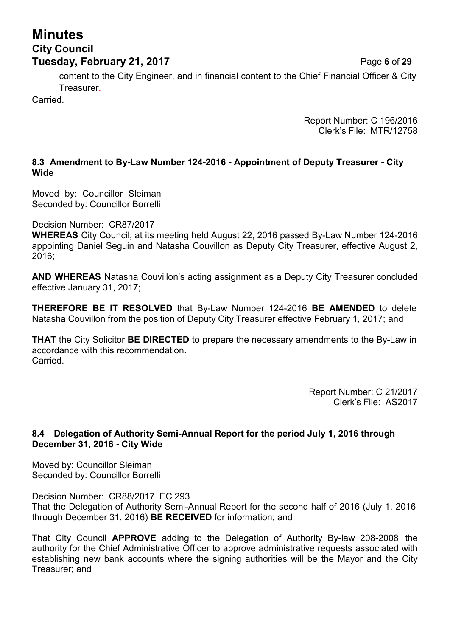# **Minutes City Council Tuesday, February 21, 2017** Page **6** of **29**

content to the City Engineer, and in financial content to the Chief Financial Officer & City Treasurer.

**Carried** 

Report Number: C 196/2016 Clerk's File: MTR/12758

#### **8.3 Amendment to By-Law Number 124-2016 - Appointment of Deputy Treasurer - City Wide**

Moved by: Councillor Sleiman Seconded by: Councillor Borrelli

Decision Number: CR87/2017

**WHEREAS** City Council, at its meeting held August 22, 2016 passed By-Law Number 124-2016 appointing Daniel Seguin and Natasha Couvillon as Deputy City Treasurer, effective August 2, 2016;

**AND WHEREAS** Natasha Couvillon's acting assignment as a Deputy City Treasurer concluded effective January 31, 2017;

**THEREFORE BE IT RESOLVED** that By-Law Number 124-2016 **BE AMENDED** to delete Natasha Couvillon from the position of Deputy City Treasurer effective February 1, 2017; and

**THAT** the City Solicitor **BE DIRECTED** to prepare the necessary amendments to the By-Law in accordance with this recommendation. Carried.

> Report Number: C 21/2017 Clerk's File: AS2017

#### **8.4 Delegation of Authority Semi-Annual Report for the period July 1, 2016 through December 31, 2016 - City Wide**

Moved by: Councillor Sleiman Seconded by: Councillor Borrelli

Decision Number: CR88/2017 EC 293 That the Delegation of Authority Semi-Annual Report for the second half of 2016 (July 1, 2016 through December 31, 2016) **BE RECEIVED** for information; and

That City Council **APPROVE** adding to the Delegation of Authority By-law 208-2008 the authority for the Chief Administrative Officer to approve administrative requests associated with establishing new bank accounts where the signing authorities will be the Mayor and the City Treasurer; and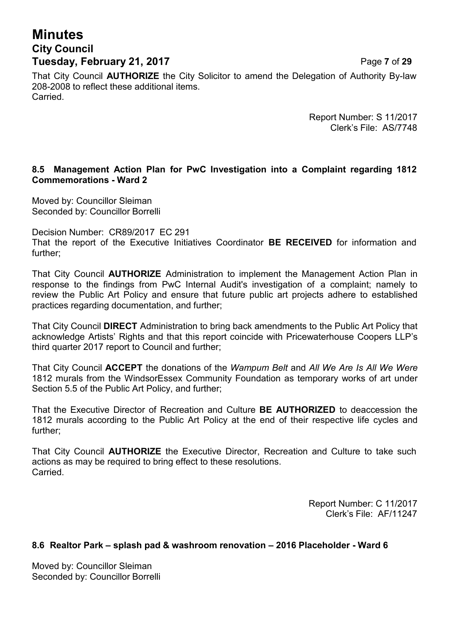# **Minutes City Council Tuesday, February 21, 2017** Page **7** of **29**

That City Council **AUTHORIZE** the City Solicitor to amend the Delegation of Authority By-law 208-2008 to reflect these additional items. Carried.

> Report Number: S 11/2017 Clerk's File: AS/7748

#### **8.5 Management Action Plan for PwC Investigation into a Complaint regarding 1812 Commemorations - Ward 2**

Moved by: Councillor Sleiman Seconded by: Councillor Borrelli

Decision Number: CR89/2017 EC 291 That the report of the Executive Initiatives Coordinator **BE RECEIVED** for information and further;

That City Council **AUTHORIZE** Administration to implement the Management Action Plan in response to the findings from PwC Internal Audit's investigation of a complaint; namely to review the Public Art Policy and ensure that future public art projects adhere to established practices regarding documentation, and further;

That City Council **DIRECT** Administration to bring back amendments to the Public Art Policy that acknowledge Artists' Rights and that this report coincide with Pricewaterhouse Coopers LLP's third quarter 2017 report to Council and further;

That City Council **ACCEPT** the donations of the *Wampum Belt* and *All We Are Is All We Were* 1812 murals from the WindsorEssex Community Foundation as temporary works of art under Section 5.5 of the Public Art Policy, and further;

That the Executive Director of Recreation and Culture **BE AUTHORIZED** to deaccession the 1812 murals according to the Public Art Policy at the end of their respective life cycles and further;

That City Council **AUTHORIZE** the Executive Director, Recreation and Culture to take such actions as may be required to bring effect to these resolutions. **Carried** 

> Report Number: C 11/2017 Clerk's File: AF/11247

#### **8.6 Realtor Park – splash pad & washroom renovation – 2016 Placeholder - Ward 6**

Moved by: Councillor Sleiman Seconded by: Councillor Borrelli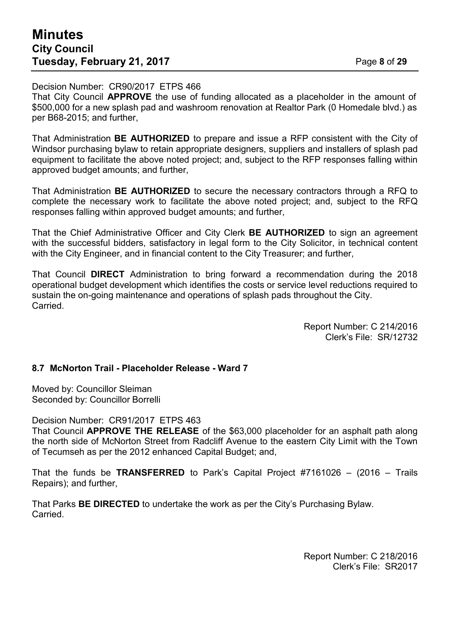## **Minutes City Council Tuesday, February 21, 2017** Page **8** of **29**

#### Decision Number: CR90/2017 ETPS 466

That City Council **APPROVE** the use of funding allocated as a placeholder in the amount of \$500,000 for a new splash pad and washroom renovation at Realtor Park (0 Homedale blvd.) as per B68-2015; and further,

That Administration **BE AUTHORIZED** to prepare and issue a RFP consistent with the City of Windsor purchasing bylaw to retain appropriate designers, suppliers and installers of splash pad equipment to facilitate the above noted project; and, subject to the RFP responses falling within approved budget amounts; and further,

That Administration **BE AUTHORIZED** to secure the necessary contractors through a RFQ to complete the necessary work to facilitate the above noted project; and, subject to the RFQ responses falling within approved budget amounts; and further,

That the Chief Administrative Officer and City Clerk **BE AUTHORIZED** to sign an agreement with the successful bidders, satisfactory in legal form to the City Solicitor, in technical content with the City Engineer, and in financial content to the City Treasurer; and further,

That Council **DIRECT** Administration to bring forward a recommendation during the 2018 operational budget development which identifies the costs or service level reductions required to sustain the on-going maintenance and operations of splash pads throughout the City. Carried.

> Report Number: C 214/2016 Clerk's File: SR/12732

#### **8.7 McNorton Trail - Placeholder Release - Ward 7**

Moved by: Councillor Sleiman Seconded by: Councillor Borrelli

Decision Number: CR91/2017 ETPS 463

That Council **APPROVE THE RELEASE** of the \$63,000 placeholder for an asphalt path along the north side of McNorton Street from Radcliff Avenue to the eastern City Limit with the Town of Tecumseh as per the 2012 enhanced Capital Budget; and,

That the funds be **TRANSFERRED** to Park's Capital Project #7161026 – (2016 – Trails Repairs); and further,

That Parks **BE DIRECTED** to undertake the work as per the City's Purchasing Bylaw. Carried.

> Report Number: C 218/2016 Clerk's File: SR2017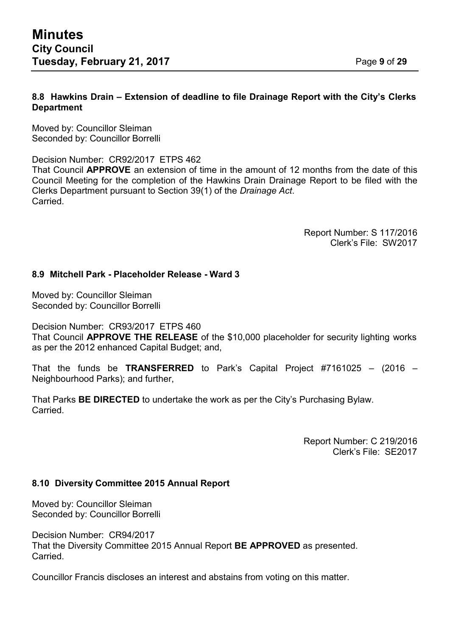Moved by: Councillor Sleiman Seconded by: Councillor Borrelli

Decision Number: CR92/2017 ETPS 462

That Council **APPROVE** an extension of time in the amount of 12 months from the date of this Council Meeting for the completion of the Hawkins Drain Drainage Report to be filed with the Clerks Department pursuant to Section 39(1) of the *Drainage Act*. Carried.

> Report Number: S 117/2016 Clerk's File: SW2017

#### **8.9 Mitchell Park - Placeholder Release - Ward 3**

Moved by: Councillor Sleiman Seconded by: Councillor Borrelli

Decision Number: CR93/2017 ETPS 460 That Council **APPROVE THE RELEASE** of the \$10,000 placeholder for security lighting works as per the 2012 enhanced Capital Budget; and,

That the funds be **TRANSFERRED** to Park's Capital Project #7161025 – (2016 – Neighbourhood Parks); and further,

That Parks **BE DIRECTED** to undertake the work as per the City's Purchasing Bylaw. **Carried** 

> Report Number: C 219/2016 Clerk's File: SE2017

#### **8.10 Diversity Committee 2015 Annual Report**

Moved by: Councillor Sleiman Seconded by: Councillor Borrelli

Decision Number: CR94/2017 That the Diversity Committee 2015 Annual Report **BE APPROVED** as presented. Carried.

Councillor Francis discloses an interest and abstains from voting on this matter.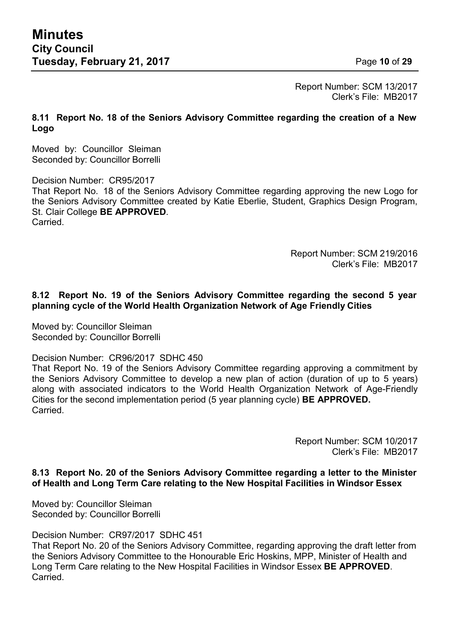Report Number: SCM 13/2017 Clerk's File: MB2017

#### **8.11 Report No. 18 of the Seniors Advisory Committee regarding the creation of a New Logo**

Moved by: Councillor Sleiman Seconded by: Councillor Borrelli

Decision Number: CR95/2017 That Report No. 18 of the Seniors Advisory Committee regarding approving the new Logo for the Seniors Advisory Committee created by Katie Eberlie, Student, Graphics Design Program, St. Clair College **BE APPROVED**. Carried.

> Report Number: SCM 219/2016 Clerk's File: MB2017

#### **8.12 Report No. 19 of the Seniors Advisory Committee regarding the second 5 year planning cycle of the World Health Organization Network of Age Friendly Cities**

Moved by: Councillor Sleiman Seconded by: Councillor Borrelli

#### Decision Number: CR96/2017 SDHC 450

That Report No. 19 of the Seniors Advisory Committee regarding approving a commitment by the Seniors Advisory Committee to develop a new plan of action (duration of up to 5 years) along with associated indicators to the World Health Organization Network of Age-Friendly Cities for the second implementation period (5 year planning cycle) **BE APPROVED. Carried** 

> Report Number: SCM 10/2017 Clerk's File: MB2017

#### **8.13 Report No. 20 of the Seniors Advisory Committee regarding a letter to the Minister of Health and Long Term Care relating to the New Hospital Facilities in Windsor Essex**

Moved by: Councillor Sleiman Seconded by: Councillor Borrelli

Decision Number: CR97/2017 SDHC 451

That Report No. 20 of the Seniors Advisory Committee, regarding approving the draft letter from the Seniors Advisory Committee to the Honourable Eric Hoskins, MPP, Minister of Health and Long Term Care relating to the New Hospital Facilities in Windsor Essex **BE APPROVED**. Carried.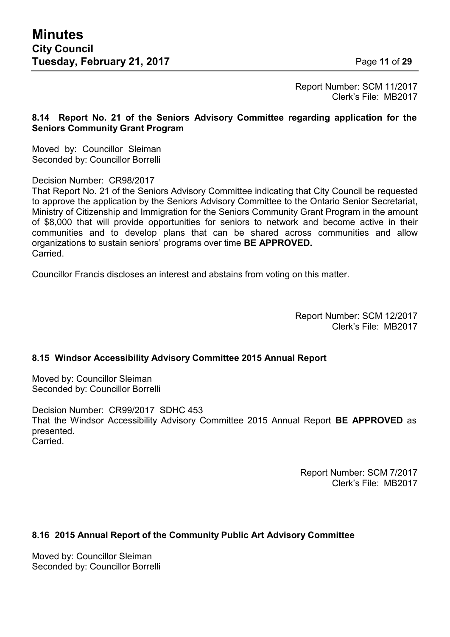Report Number: SCM 11/2017 Clerk's File: MB2017

#### **8.14 Report No. 21 of the Seniors Advisory Committee regarding application for the Seniors Community Grant Program**

Moved by: Councillor Sleiman Seconded by: Councillor Borrelli

Decision Number: CR98/2017

That Report No. 21 of the Seniors Advisory Committee indicating that City Council be requested to approve the application by the Seniors Advisory Committee to the Ontario Senior Secretariat, Ministry of Citizenship and Immigration for the Seniors Community Grant Program in the amount of \$8,000 that will provide opportunities for seniors to network and become active in their communities and to develop plans that can be shared across communities and allow organizations to sustain seniors' programs over time **BE APPROVED.** Carried.

Councillor Francis discloses an interest and abstains from voting on this matter.

Report Number: SCM 12/2017 Clerk's File: MB2017

#### **8.15 Windsor Accessibility Advisory Committee 2015 Annual Report**

Moved by: Councillor Sleiman Seconded by: Councillor Borrelli

Decision Number: CR99/2017 SDHC 453 That the Windsor Accessibility Advisory Committee 2015 Annual Report **BE APPROVED** as presented. **Carried** 

> Report Number: SCM 7/2017 Clerk's File: MB2017

#### **8.16 2015 Annual Report of the Community Public Art Advisory Committee**

Moved by: Councillor Sleiman Seconded by: Councillor Borrelli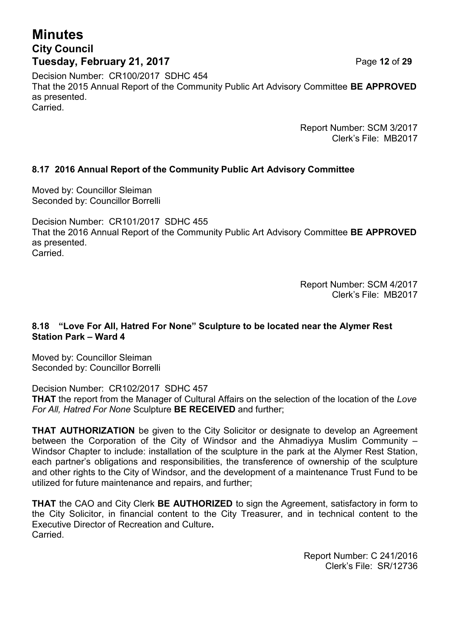# **Minutes City Council Tuesday, February 21, 2017** Page 12 of 29

Decision Number: CR100/2017 SDHC 454 That the 2015 Annual Report of the Community Public Art Advisory Committee **BE APPROVED** as presented. Carried.

> Report Number: SCM 3/2017 Clerk's File: MB2017

#### **8.17 2016 Annual Report of the Community Public Art Advisory Committee**

Moved by: Councillor Sleiman Seconded by: Councillor Borrelli

Decision Number: CR101/2017 SDHC 455 That the 2016 Annual Report of the Community Public Art Advisory Committee **BE APPROVED** as presented. **Carried** 

> Report Number: SCM 4/2017 Clerk's File: MB2017

#### **8.18 "Love For All, Hatred For None" Sculpture to be located near the Alymer Rest Station Park – Ward 4**

Moved by: Councillor Sleiman Seconded by: Councillor Borrelli

Decision Number: CR102/2017 SDHC 457

**THAT** the report from the Manager of Cultural Affairs on the selection of the location of the *Love For All, Hatred For None* Sculpture **BE RECEIVED** and further;

**THAT AUTHORIZATION** be given to the City Solicitor or designate to develop an Agreement between the Corporation of the City of Windsor and the Ahmadiyya Muslim Community – Windsor Chapter to include: installation of the sculpture in the park at the Alymer Rest Station, each partner's obligations and responsibilities, the transference of ownership of the sculpture and other rights to the City of Windsor, and the development of a maintenance Trust Fund to be utilized for future maintenance and repairs, and further;

**THAT** the CAO and City Clerk **BE AUTHORIZED** to sign the Agreement, satisfactory in form to the City Solicitor, in financial content to the City Treasurer, and in technical content to the Executive Director of Recreation and Culture**. Carried** 

> Report Number: C 241/2016 Clerk's File: SR/12736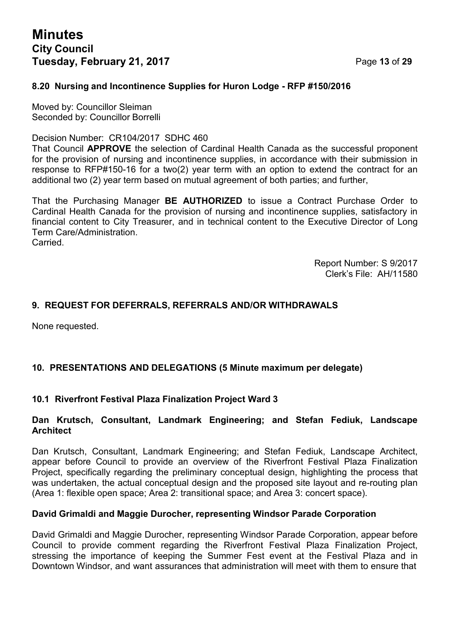# **Minutes City Council Tuesday, February 21, 2017** Page **13** of **29**

#### **8.20 Nursing and Incontinence Supplies for Huron Lodge - RFP #150/2016**

Moved by: Councillor Sleiman Seconded by: Councillor Borrelli

Decision Number: CR104/2017 SDHC 460

That Council **APPROVE** the selection of Cardinal Health Canada as the successful proponent for the provision of nursing and incontinence supplies, in accordance with their submission in response to RFP#150-16 for a two(2) year term with an option to extend the contract for an additional two (2) year term based on mutual agreement of both parties; and further,

That the Purchasing Manager **BE AUTHORIZED** to issue a Contract Purchase Order to Cardinal Health Canada for the provision of nursing and incontinence supplies, satisfactory in financial content to City Treasurer, and in technical content to the Executive Director of Long Term Care/Administration. **Carried** 

> Report Number: S 9/2017 Clerk's File: AH/11580

#### **9. REQUEST FOR DEFERRALS, REFERRALS AND/OR WITHDRAWALS**

None requested.

#### **10. PRESENTATIONS AND DELEGATIONS (5 Minute maximum per delegate)**

#### **10.1 Riverfront Festival Plaza Finalization Project Ward 3**

#### **Dan Krutsch, Consultant, Landmark Engineering; and Stefan Fediuk, Landscape Architect**

Dan Krutsch, Consultant, Landmark Engineering; and Stefan Fediuk, Landscape Architect, appear before Council to provide an overview of the Riverfront Festival Plaza Finalization Project, specifically regarding the preliminary conceptual design, highlighting the process that was undertaken, the actual conceptual design and the proposed site layout and re-routing plan (Area 1: flexible open space; Area 2: transitional space; and Area 3: concert space).

#### **David Grimaldi and Maggie Durocher, representing Windsor Parade Corporation**

David Grimaldi and Maggie Durocher, representing Windsor Parade Corporation, appear before Council to provide comment regarding the Riverfront Festival Plaza Finalization Project, stressing the importance of keeping the Summer Fest event at the Festival Plaza and in Downtown Windsor, and want assurances that administration will meet with them to ensure that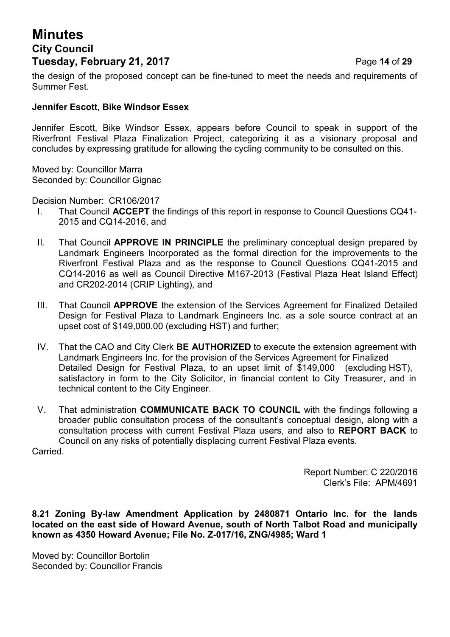# **Minutes City Council Tuesday, February 21, 2017** Page 14 of 29

the design of the proposed concept can be fine-tuned to meet the needs and requirements of Summer Fest.

#### **Jennifer Escott, Bike Windsor Essex**

Jennifer Escott, Bike Windsor Essex, appears before Council to speak in support of the Riverfront Festival Plaza Finalization Project, categorizing it as a visionary proposal and concludes by expressing gratitude for allowing the cycling community to be consulted on this.

Moved by: Councillor Marra Seconded by: Councillor Gignac

Decision Number: CR106/2017

- I. That Council **ACCEPT** the findings of this report in response to Council Questions CQ41- 2015 and CQ14-2016, and
- II. That Council **APPROVE IN PRINCIPLE** the preliminary conceptual design prepared by Landmark Engineers Incorporated as the formal direction for the improvements to the Riverfront Festival Plaza and as the response to Council Questions CQ41-2015 and CQ14-2016 as well as Council Directive M167-2013 (Festival Plaza Heat Island Effect) and CR202-2014 (CRIP Lighting), and
- III. That Council **APPROVE** the extension of the Services Agreement for Finalized Detailed Design for Festival Plaza to Landmark Engineers Inc. as a sole source contract at an upset cost of \$149,000.00 (excluding HST) and further;
- IV. That the CAO and City Clerk **BE AUTHORIZED** to execute the extension agreement with Landmark Engineers Inc. for the provision of the Services Agreement for Finalized Detailed Design for Festival Plaza, to an upset limit of \$149,000 (excluding HST), satisfactory in form to the City Solicitor, in financial content to City Treasurer, and in technical content to the City Engineer.
- V. That administration **COMMUNICATE BACK TO COUNCIL** with the findings following a broader public consultation process of the consultant's conceptual design, along with a consultation process with current Festival Plaza users, and also to **REPORT BACK** to Council on any risks of potentially displacing current Festival Plaza events.

Carried.

Report Number: C 220/2016 Clerk's File: APM/4691

**8.21 Zoning By-law Amendment Application by 2480871 Ontario Inc. for the lands located on the east side of Howard Avenue, south of North Talbot Road and municipally known as 4350 Howard Avenue; File No. Z-017/16, ZNG/4985; Ward 1**

Moved by: Councillor Bortolin Seconded by: Councillor Francis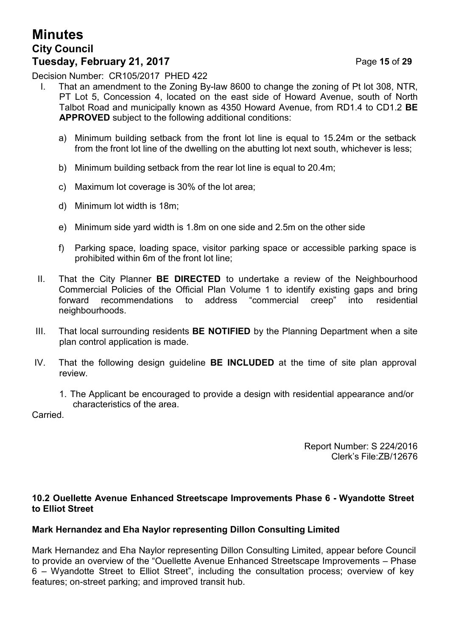# **Minutes City Council Tuesday, February 21, 2017** Page **15** of **29**

Decision Number: CR105/2017 PHED 422

- I. That an amendment to the Zoning By-law 8600 to change the zoning of Pt lot 308, NTR, PT Lot 5, Concession 4, located on the east side of Howard Avenue, south of North Talbot Road and municipally known as 4350 Howard Avenue, from RD1.4 to CD1.2 **BE APPROVED** subject to the following additional conditions:
	- a) Minimum building setback from the front lot line is equal to 15.24m or the setback from the front lot line of the dwelling on the abutting lot next south, whichever is less;
	- b) Minimum building setback from the rear lot line is equal to 20.4m;
	- c) Maximum lot coverage is 30% of the lot area;
	- d) Minimum lot width is 18m;
	- e) Minimum side yard width is 1.8m on one side and 2.5m on the other side
	- f) Parking space, loading space, visitor parking space or accessible parking space is prohibited within 6m of the front lot line;
- II. That the City Planner **BE DIRECTED** to undertake a review of the Neighbourhood Commercial Policies of the Official Plan Volume 1 to identify existing gaps and bring forward recommendations to address "commercial creep" into residential neighbourhoods.
- III. That local surrounding residents **BE NOTIFIED** by the Planning Department when a site plan control application is made.
- IV. That the following design guideline **BE INCLUDED** at the time of site plan approval review.
	- 1. The Applicant be encouraged to provide a design with residential appearance and/or characteristics of the area.

Carried.

Report Number: S 224/2016 Clerk's File:ZB/12676

#### **10.2 Ouellette Avenue Enhanced Streetscape Improvements Phase 6 - Wyandotte Street to Elliot Street**

#### **Mark Hernandez and Eha Naylor representing Dillon Consulting Limited**

Mark Hernandez and Eha Naylor representing Dillon Consulting Limited, appear before Council to provide an overview of the "Ouellette Avenue Enhanced Streetscape Improvements – Phase 6 – Wyandotte Street to Elliot Street", including the consultation process; overview of key features; on-street parking; and improved transit hub.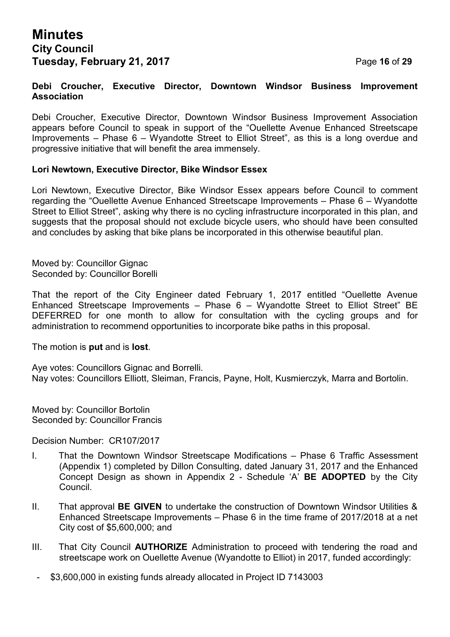## **Minutes City Council Tuesday, February 21, 2017** Page **16** of **29**

#### **Debi Croucher, Executive Director, Downtown Windsor Business Improvement Association**

Debi Croucher, Executive Director, Downtown Windsor Business Improvement Association appears before Council to speak in support of the "Ouellette Avenue Enhanced Streetscape Improvements – Phase 6 – Wyandotte Street to Elliot Street", as this is a long overdue and progressive initiative that will benefit the area immensely.

#### **Lori Newtown, Executive Director, Bike Windsor Essex**

Lori Newtown, Executive Director, Bike Windsor Essex appears before Council to comment regarding the "Ouellette Avenue Enhanced Streetscape Improvements – Phase 6 – Wyandotte Street to Elliot Street", asking why there is no cycling infrastructure incorporated in this plan, and suggests that the proposal should not exclude bicycle users, who should have been consulted and concludes by asking that bike plans be incorporated in this otherwise beautiful plan.

Moved by: Councillor Gignac Seconded by: Councillor Borelli

That the report of the City Engineer dated February 1, 2017 entitled "Ouellette Avenue Enhanced Streetscape Improvements – Phase 6 – Wyandotte Street to Elliot Street" BE DEFERRED for one month to allow for consultation with the cycling groups and for administration to recommend opportunities to incorporate bike paths in this proposal.

The motion is **put** and is **lost**.

Aye votes: Councillors Gignac and Borrelli. Nay votes: Councillors Elliott, Sleiman, Francis, Payne, Holt, Kusmierczyk, Marra and Bortolin.

Moved by: Councillor Bortolin Seconded by: Councillor Francis

Decision Number: CR107/2017

- I. That the Downtown Windsor Streetscape Modifications Phase 6 Traffic Assessment (Appendix 1) completed by Dillon Consulting, dated January 31, 2017 and the Enhanced Concept Design as shown in Appendix 2 - Schedule 'A' **BE ADOPTED** by the City Council.
- II. That approval **BE GIVEN** to undertake the construction of Downtown Windsor Utilities & Enhanced Streetscape Improvements – Phase 6 in the time frame of 2017/2018 at a net City cost of \$5,600,000; and
- III. That City Council **AUTHORIZE** Administration to proceed with tendering the road and streetscape work on Ouellette Avenue (Wyandotte to Elliot) in 2017, funded accordingly:
	- \$3,600,000 in existing funds already allocated in Project ID 7143003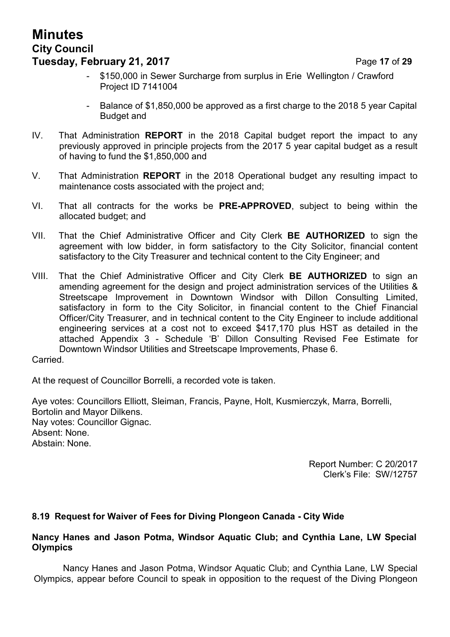# **Minutes City Council Tuesday, February 21, 2017** Page 17 of 29

- \$150,000 in Sewer Surcharge from surplus in Erie Wellington / Crawford Project ID 7141004
- Balance of \$1,850,000 be approved as a first charge to the 2018 5 year Capital Budget and
- IV. That Administration **REPORT** in the 2018 Capital budget report the impact to any previously approved in principle projects from the 2017 5 year capital budget as a result of having to fund the \$1,850,000 and
- V. That Administration **REPORT** in the 2018 Operational budget any resulting impact to maintenance costs associated with the project and;
- VI. That all contracts for the works be **PRE-APPROVED**, subject to being within the allocated budget; and
- VII. That the Chief Administrative Officer and City Clerk **BE AUTHORIZED** to sign the agreement with low bidder, in form satisfactory to the City Solicitor, financial content satisfactory to the City Treasurer and technical content to the City Engineer; and
- VIII. That the Chief Administrative Officer and City Clerk **BE AUTHORIZED** to sign an amending agreement for the design and project administration services of the Utilities & Streetscape Improvement in Downtown Windsor with Dillon Consulting Limited, satisfactory in form to the City Solicitor, in financial content to the Chief Financial Officer/City Treasurer, and in technical content to the City Engineer to include additional engineering services at a cost not to exceed \$417,170 plus HST as detailed in the attached Appendix 3 - Schedule 'B' Dillon Consulting Revised Fee Estimate for Downtown Windsor Utilities and Streetscape Improvements, Phase 6.

Carried.

At the request of Councillor Borrelli, a recorded vote is taken.

Aye votes: Councillors Elliott, Sleiman, Francis, Payne, Holt, Kusmierczyk, Marra, Borrelli, Bortolin and Mayor Dilkens. Nay votes: Councillor Gignac. Absent: None. Abstain: None.

> Report Number: C 20/2017 Clerk's File: SW/12757

#### **8.19 Request for Waiver of Fees for Diving Plongeon Canada - City Wide**

#### **Nancy Hanes and Jason Potma, Windsor Aquatic Club; and Cynthia Lane, LW Special Olympics**

Nancy Hanes and Jason Potma, Windsor Aquatic Club; and Cynthia Lane, LW Special Olympics, appear before Council to speak in opposition to the request of the Diving Plongeon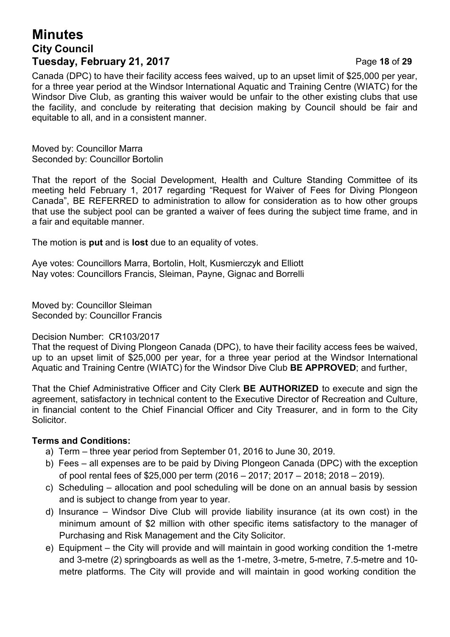# **Minutes City Council Tuesday, February 21, 2017** Page 18 of 29

Canada (DPC) to have their facility access fees waived, up to an upset limit of \$25,000 per year, for a three year period at the Windsor International Aquatic and Training Centre (WIATC) for the Windsor Dive Club, as granting this waiver would be unfair to the other existing clubs that use the facility, and conclude by reiterating that decision making by Council should be fair and equitable to all, and in a consistent manner.

Moved by: Councillor Marra Seconded by: Councillor Bortolin

That the report of the Social Development, Health and Culture Standing Committee of its meeting held February 1, 2017 regarding "Request for Waiver of Fees for Diving Plongeon Canada", BE REFERRED to administration to allow for consideration as to how other groups that use the subject pool can be granted a waiver of fees during the subject time frame, and in a fair and equitable manner.

The motion is **put** and is **lost** due to an equality of votes.

Aye votes: Councillors Marra, Bortolin, Holt, Kusmierczyk and Elliott Nay votes: Councillors Francis, Sleiman, Payne, Gignac and Borrelli

Moved by: Councillor Sleiman Seconded by: Councillor Francis

#### Decision Number: CR103/2017

That the request of Diving Plongeon Canada (DPC), to have their facility access fees be waived, up to an upset limit of \$25,000 per year, for a three year period at the Windsor International Aquatic and Training Centre (WIATC) for the Windsor Dive Club **BE APPROVED**; and further,

That the Chief Administrative Officer and City Clerk **BE AUTHORIZED** to execute and sign the agreement, satisfactory in technical content to the Executive Director of Recreation and Culture, in financial content to the Chief Financial Officer and City Treasurer, and in form to the City Solicitor.

#### **Terms and Conditions:**

- a) Term three year period from September 01, 2016 to June 30, 2019.
- b) Fees all expenses are to be paid by Diving Plongeon Canada (DPC) with the exception of pool rental fees of \$25,000 per term (2016 – 2017; 2017 – 2018; 2018 – 2019).
- c) Scheduling allocation and pool scheduling will be done on an annual basis by session and is subject to change from year to year.
- d) Insurance Windsor Dive Club will provide liability insurance (at its own cost) in the minimum amount of \$2 million with other specific items satisfactory to the manager of Purchasing and Risk Management and the City Solicitor.
- e) Equipment the City will provide and will maintain in good working condition the 1-metre and 3-metre (2) springboards as well as the 1-metre, 3-metre, 5-metre, 7.5-metre and 10 metre platforms. The City will provide and will maintain in good working condition the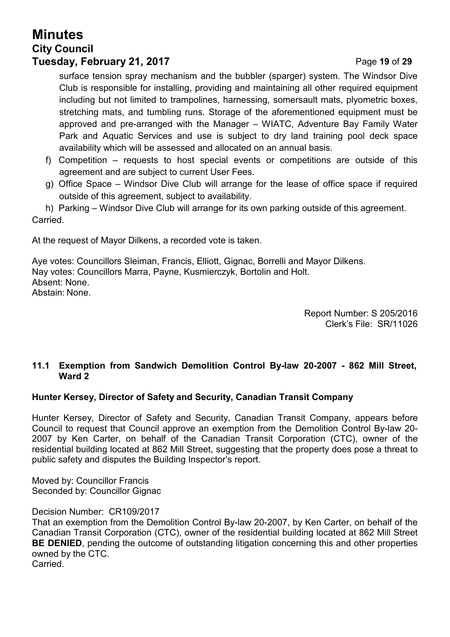# **Minutes City Council Tuesday, February 21, 2017** Page 19 of 29

surface tension spray mechanism and the bubbler (sparger) system. The Windsor Dive Club is responsible for installing, providing and maintaining all other required equipment including but not limited to trampolines, harnessing, somersault mats, plyometric boxes, stretching mats, and tumbling runs. Storage of the aforementioned equipment must be approved and pre-arranged with the Manager – WIATC, Adventure Bay Family Water Park and Aquatic Services and use is subject to dry land training pool deck space availability which will be assessed and allocated on an annual basis.

- f) Competition requests to host special events or competitions are outside of this agreement and are subject to current User Fees.
- g) Office Space Windsor Dive Club will arrange for the lease of office space if required outside of this agreement, subject to availability.

h) Parking – Windsor Dive Club will arrange for its own parking outside of this agreement. Carried.

At the request of Mayor Dilkens, a recorded vote is taken.

Aye votes: Councillors Sleiman, Francis, Elliott, Gignac, Borrelli and Mayor Dilkens. Nay votes: Councillors Marra, Payne, Kusmierczyk, Bortolin and Holt. Absent: None. Abstain: None.

> Report Number: S 205/2016 Clerk's File: SR/11026

#### **11.1 Exemption from Sandwich Demolition Control By-law 20-2007 - 862 Mill Street, Ward 2**

#### **Hunter Kersey, Director of Safety and Security, Canadian Transit Company**

Hunter Kersey, Director of Safety and Security, Canadian Transit Company, appears before Council to request that Council approve an exemption from the Demolition Control By-law 20- 2007 by Ken Carter, on behalf of the Canadian Transit Corporation (CTC), owner of the residential building located at 862 Mill Street, suggesting that the property does pose a threat to public safety and disputes the Building Inspector's report.

Moved by: Councillor Francis Seconded by: Councillor Gignac

Decision Number: CR109/2017

That an exemption from the Demolition Control By-law 20-2007, by Ken Carter, on behalf of the Canadian Transit Corporation (CTC), owner of the residential building located at 862 Mill Street **BE DENIED**, pending the outcome of outstanding litigation concerning this and other properties owned by the CTC.

Carried.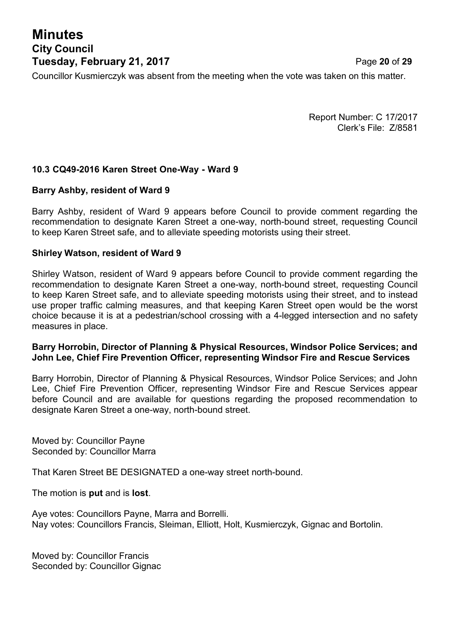# **Minutes City Council**

Report Number: C 17/2017 Clerk's File: Z/8581

#### **10.3 CQ49-2016 Karen Street One-Way - Ward 9**

#### **Barry Ashby, resident of Ward 9**

Barry Ashby, resident of Ward 9 appears before Council to provide comment regarding the recommendation to designate Karen Street a one-way, north-bound street, requesting Council to keep Karen Street safe, and to alleviate speeding motorists using their street.

#### **Shirley Watson, resident of Ward 9**

Shirley Watson, resident of Ward 9 appears before Council to provide comment regarding the recommendation to designate Karen Street a one-way, north-bound street, requesting Council to keep Karen Street safe, and to alleviate speeding motorists using their street, and to instead use proper traffic calming measures, and that keeping Karen Street open would be the worst choice because it is at a pedestrian/school crossing with a 4-legged intersection and no safety measures in place.

#### **Barry Horrobin, Director of Planning & Physical Resources, Windsor Police Services; and John Lee, Chief Fire Prevention Officer, representing Windsor Fire and Rescue Services**

Barry Horrobin, Director of Planning & Physical Resources, Windsor Police Services; and John Lee, Chief Fire Prevention Officer, representing Windsor Fire and Rescue Services appear before Council and are available for questions regarding the proposed recommendation to designate Karen Street a one-way, north-bound street.

Moved by: Councillor Payne Seconded by: Councillor Marra

That Karen Street BE DESIGNATED a one-way street north-bound.

The motion is **put** and is **lost**.

Aye votes: Councillors Payne, Marra and Borrelli. Nay votes: Councillors Francis, Sleiman, Elliott, Holt, Kusmierczyk, Gignac and Bortolin.

Moved by: Councillor Francis Seconded by: Councillor Gignac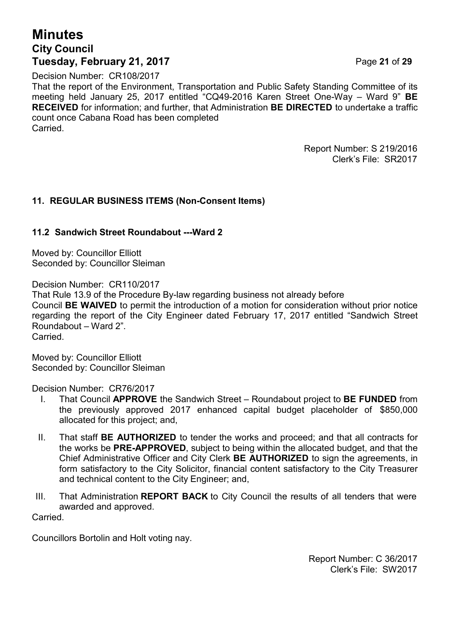# **Minutes City Council Tuesday, February 21, 2017** Page **21** of **29**

Decision Number: CR108/2017

That the report of the Environment, Transportation and Public Safety Standing Committee of its meeting held January 25, 2017 entitled "CQ49-2016 Karen Street One-Way – Ward 9" **BE RECEIVED** for information; and further, that Administration **BE DIRECTED** to undertake a traffic count once Cabana Road has been completed Carried.

> Report Number: S 219/2016 Clerk's File: SR2017

#### **11. REGULAR BUSINESS ITEMS (Non-Consent Items)**

#### **11.2 Sandwich Street Roundabout ---Ward 2**

Moved by: Councillor Elliott Seconded by: Councillor Sleiman

Decision Number: CR110/2017

That Rule 13.9 of the Procedure By-law regarding business not already before Council **BE WAIVED** to permit the introduction of a motion for consideration without prior notice regarding the report of the City Engineer dated February 17, 2017 entitled "Sandwich Street Roundabout – Ward 2". **Carried** 

Moved by: Councillor Elliott Seconded by: Councillor Sleiman

Decision Number: CR76/2017

- I. That Council **APPROVE** the Sandwich Street Roundabout project to **BE FUNDED** from the previously approved 2017 enhanced capital budget placeholder of \$850,000 allocated for this project; and,
- II. That staff **BE AUTHORIZED** to tender the works and proceed; and that all contracts for the works be **PRE-APPROVED**, subject to being within the allocated budget, and that the Chief Administrative Officer and City Clerk **BE AUTHORIZED** to sign the agreements, in form satisfactory to the City Solicitor, financial content satisfactory to the City Treasurer and technical content to the City Engineer; and,
- III. That Administration **REPORT BACK** to City Council the results of all tenders that were awarded and approved.

Carried.

Councillors Bortolin and Holt voting nay.

Report Number: C 36/2017 Clerk's File: SW2017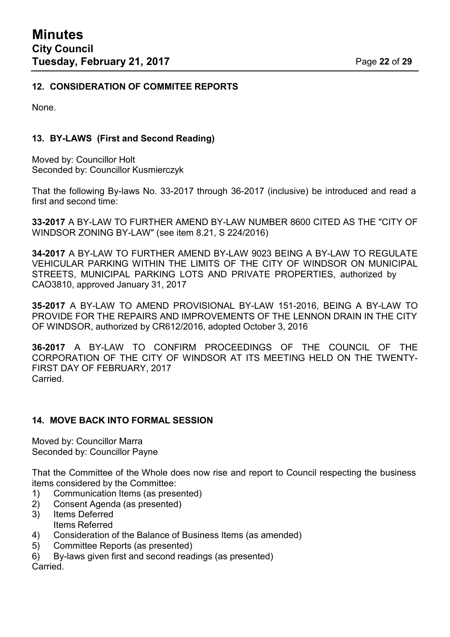#### **12. CONSIDERATION OF COMMITEE REPORTS**

None.

### **13. BY-LAWS (First and Second Reading)**

Moved by: Councillor Holt Seconded by: Councillor Kusmierczyk

That the following By-laws No. 33-2017 through 36-2017 (inclusive) be introduced and read a first and second time:

**33-2017** A BY-LAW TO FURTHER AMEND BY-LAW NUMBER 8600 CITED AS THE "CITY OF WINDSOR ZONING BY-LAW" (see item 8.21, S 224/2016)

**34-2017** A BY-LAW TO FURTHER AMEND BY-LAW 9023 BEING A BY-LAW TO REGULATE VEHICULAR PARKING WITHIN THE LIMITS OF THE CITY OF WINDSOR ON MUNICIPAL STREETS, MUNICIPAL PARKING LOTS AND PRIVATE PROPERTIES, authorized by CAO3810, approved January 31, 2017

**35-2017** A BY-LAW TO AMEND PROVISIONAL BY-LAW 151-2016, BEING A BY-LAW TO PROVIDE FOR THE REPAIRS AND IMPROVEMENTS OF THE LENNON DRAIN IN THE CITY OF WINDSOR, authorized by CR612/2016, adopted October 3, 2016

**36-2017** A BY-LAW TO CONFIRM PROCEEDINGS OF THE COUNCIL OF THE CORPORATION OF THE CITY OF WINDSOR AT ITS MEETING HELD ON THE TWENTY-FIRST DAY OF FEBRUARY, 2017 Carried.

#### **14. MOVE BACK INTO FORMAL SESSION**

Moved by: Councillor Marra Seconded by: Councillor Payne

That the Committee of the Whole does now rise and report to Council respecting the business items considered by the Committee:

- 1) Communication Items (as presented)
- 2) Consent Agenda (as presented)
- 3) Items Deferred Items Referred
- 4) Consideration of the Balance of Business Items (as amended)
- 5) Committee Reports (as presented)
- 6) By-laws given first and second readings (as presented)

Carried.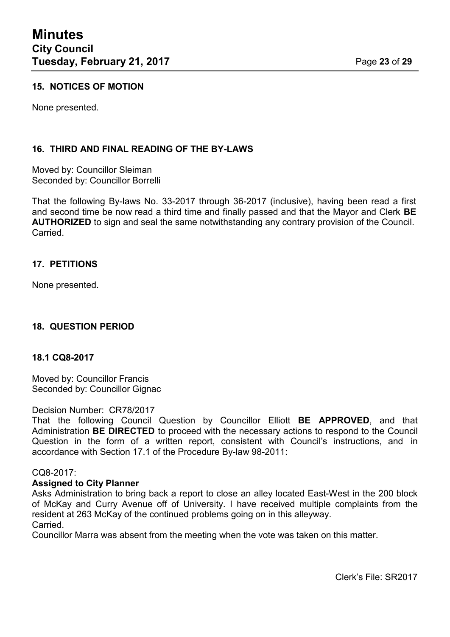#### **15. NOTICES OF MOTION**

None presented.

#### **16. THIRD AND FINAL READING OF THE BY-LAWS**

Moved by: Councillor Sleiman Seconded by: Councillor Borrelli

That the following By-laws No. 33-2017 through 36-2017 (inclusive), having been read a first and second time be now read a third time and finally passed and that the Mayor and Clerk **BE AUTHORIZED** to sign and seal the same notwithstanding any contrary provision of the Council. **Carried** 

#### **17. PETITIONS**

None presented.

#### **18. QUESTION PERIOD**

#### **18.1 CQ8-2017**

Moved by: Councillor Francis Seconded by: Councillor Gignac

#### Decision Number: CR78/2017

That the following Council Question by Councillor Elliott **BE APPROVED**, and that Administration **BE DIRECTED** to proceed with the necessary actions to respond to the Council Question in the form of a written report, consistent with Council's instructions, and in accordance with Section 17.1 of the Procedure By-law 98-2011:

#### CQ8-2017:

#### **Assigned to City Planner**

Asks Administration to bring back a report to close an alley located East-West in the 200 block of McKay and Curry Avenue off of University. I have received multiple complaints from the resident at 263 McKay of the continued problems going on in this alleyway. Carried.

Councillor Marra was absent from the meeting when the vote was taken on this matter.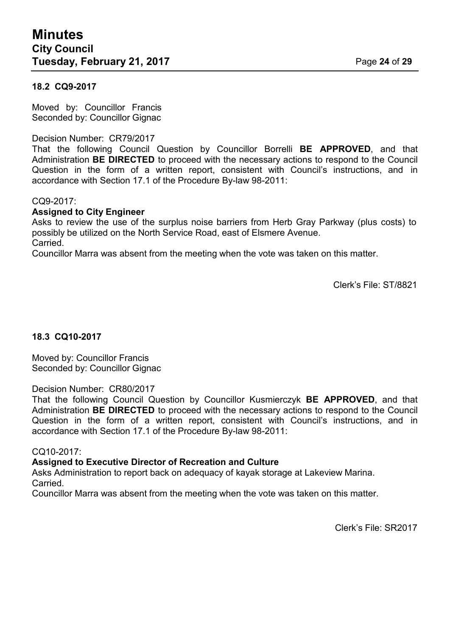#### **18.2 CQ9-2017**

Moved by: Councillor Francis Seconded by: Councillor Gignac

#### Decision Number: CR79/2017

That the following Council Question by Councillor Borrelli **BE APPROVED**, and that Administration **BE DIRECTED** to proceed with the necessary actions to respond to the Council Question in the form of a written report, consistent with Council's instructions, and in accordance with Section 17.1 of the Procedure By-law 98-2011:

#### CQ9-2017:

#### **Assigned to City Engineer**

Asks to review the use of the surplus noise barriers from Herb Gray Parkway (plus costs) to possibly be utilized on the North Service Road, east of Elsmere Avenue. Carried.

Councillor Marra was absent from the meeting when the vote was taken on this matter.

Clerk's File: ST/8821

#### **18.3 CQ10-2017**

Moved by: Councillor Francis Seconded by: Councillor Gignac

#### Decision Number: CR80/2017

That the following Council Question by Councillor Kusmierczyk **BE APPROVED**, and that Administration **BE DIRECTED** to proceed with the necessary actions to respond to the Council Question in the form of a written report, consistent with Council's instructions, and in accordance with Section 17.1 of the Procedure By-law 98-2011:

#### CQ10-2017:

#### **Assigned to Executive Director of Recreation and Culture**

Asks Administration to report back on adequacy of kayak storage at Lakeview Marina. Carried.

Councillor Marra was absent from the meeting when the vote was taken on this matter.

Clerk's File: SR2017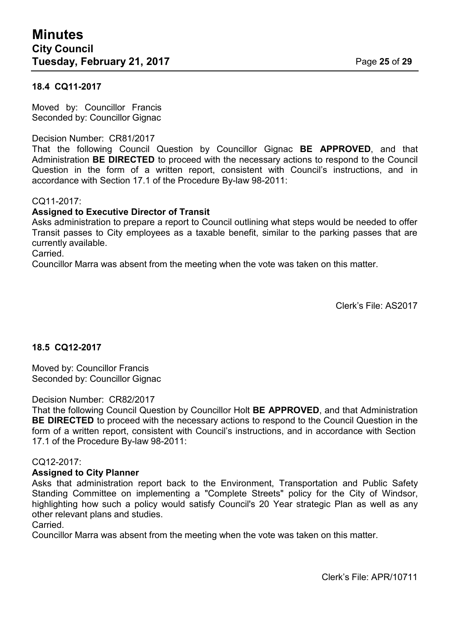#### **18.4 CQ11-2017**

Moved by: Councillor Francis Seconded by: Councillor Gignac

#### Decision Number: CR81/2017

That the following Council Question by Councillor Gignac **BE APPROVED**, and that Administration **BE DIRECTED** to proceed with the necessary actions to respond to the Council Question in the form of a written report, consistent with Council's instructions, and in accordance with Section 17.1 of the Procedure By-law 98-2011:

#### CQ11-2017:

#### **Assigned to Executive Director of Transit**

Asks administration to prepare a report to Council outlining what steps would be needed to offer Transit passes to City employees as a taxable benefit, similar to the parking passes that are currently available.

**Carried** 

Councillor Marra was absent from the meeting when the vote was taken on this matter.

Clerk's File: AS2017

#### **18.5 CQ12-2017**

Moved by: Councillor Francis Seconded by: Councillor Gignac

#### Decision Number: CR82/2017

That the following Council Question by Councillor Holt **BE APPROVED**, and that Administration **BE DIRECTED** to proceed with the necessary actions to respond to the Council Question in the form of a written report, consistent with Council's instructions, and in accordance with Section 17.1 of the Procedure By-law 98-2011:

#### CQ12-2017:

#### **Assigned to City Planner**

Asks that administration report back to the Environment, Transportation and Public Safety Standing Committee on implementing a "Complete Streets" policy for the City of Windsor, highlighting how such a policy would satisfy Council's 20 Year strategic Plan as well as any other relevant plans and studies.

Carried.

Councillor Marra was absent from the meeting when the vote was taken on this matter.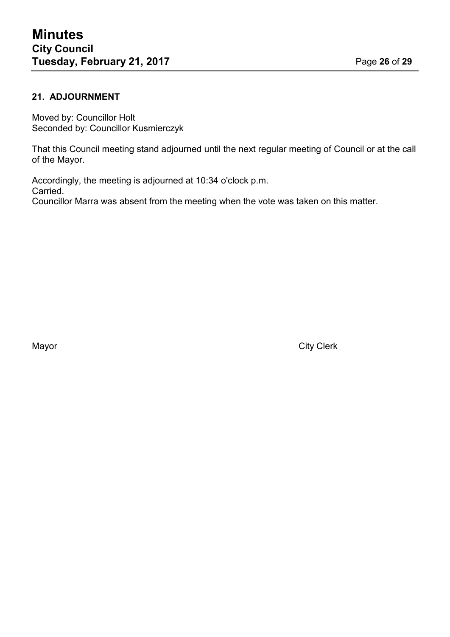### **21. ADJOURNMENT**

Moved by: Councillor Holt Seconded by: Councillor Kusmierczyk

That this Council meeting stand adjourned until the next regular meeting of Council or at the call of the Mayor.

Accordingly, the meeting is adjourned at 10:34 o'clock p.m. Carried. Councillor Marra was absent from the meeting when the vote was taken on this matter.

Mayor **City Clerk**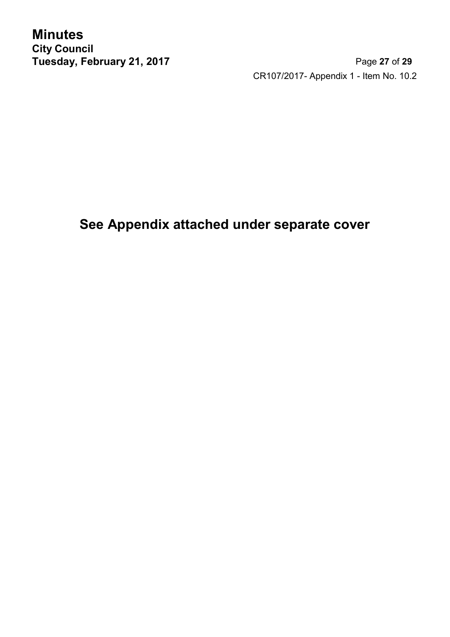**Minutes City Council**

**Tuesday, February 21, 2017** Page **27** of **29** CR107/2017- Appendix 1 - Item No. 10.2

**See Appendix attached under separate cover**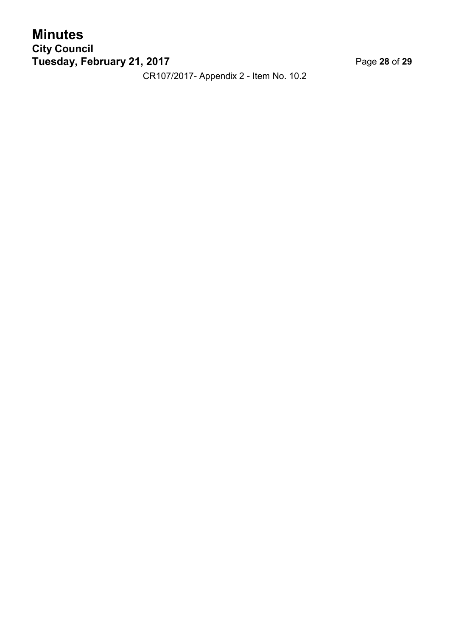# **Minutes**

**City Council Tuesday, February 21, 2017** Page **28** of **29**

CR107/2017- Appendix 2 - Item No. 10.2